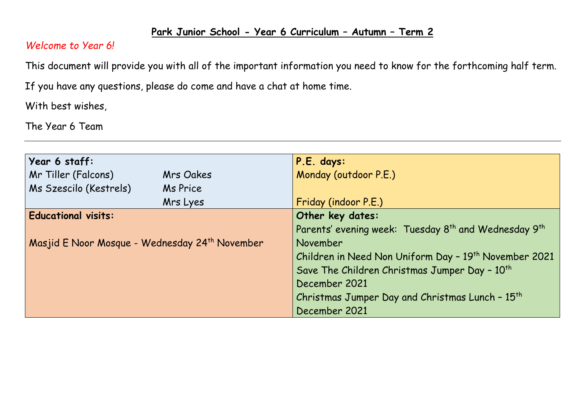## **Park Junior School - Year 6 Curriculum – Autumn – Term 2**

## *Welcome to Year 6!*

This document will provide you with all of the important information you need to know for the forthcoming half term.

If you have any questions, please do come and have a chat at home time.

With best wishes,

The Year 6 Team

| Year 6 staff:                                              |           | P.E. days:                                                                   |  |  |
|------------------------------------------------------------|-----------|------------------------------------------------------------------------------|--|--|
| Mr Tiller (Falcons)                                        | Mrs Oakes | Monday (outdoor P.E.)                                                        |  |  |
| Ms Szescilo (Kestrels)                                     | Ms Price  |                                                                              |  |  |
|                                                            | Mrs Lyes  | Friday (indoor P.E.)                                                         |  |  |
| <b>Educational visits:</b>                                 |           | Other key dates:                                                             |  |  |
|                                                            |           | Parents' evening week: Tuesday 8 <sup>th</sup> and Wednesday 9 <sup>th</sup> |  |  |
| Masjid E Noor Mosque - Wednesday 24 <sup>th</sup> November |           | November                                                                     |  |  |
|                                                            |           | Children in Need Non Uniform Day - 19 <sup>th</sup> November 2021            |  |  |
|                                                            |           | Save The Children Christmas Jumper Day - 10 <sup>th</sup>                    |  |  |
|                                                            |           | December 2021                                                                |  |  |
|                                                            |           | Christmas Jumper Day and Christmas Lunch - 15 <sup>th</sup>                  |  |  |
|                                                            |           | December 2021                                                                |  |  |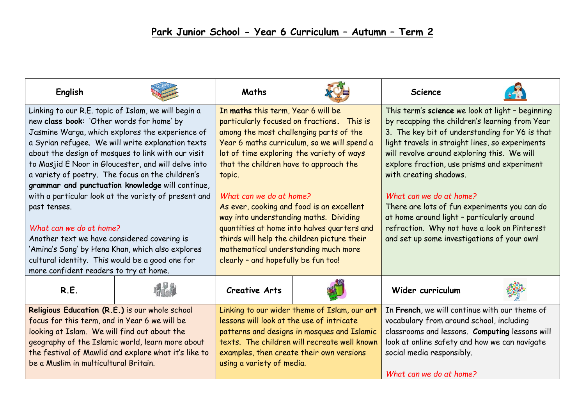| English                                                                                                                                                                                                                                                                                                                                                                                                                                                                                                                                                                                                                                                                                                                          |  | Maths                                                                                                                                                                                                                                                                                                                                                                                                                                                                                                                                                                      |  | <b>Science</b>                                                                                                                                                                                                                                                                                                                                                                                                                                                                                                                                          |  |
|----------------------------------------------------------------------------------------------------------------------------------------------------------------------------------------------------------------------------------------------------------------------------------------------------------------------------------------------------------------------------------------------------------------------------------------------------------------------------------------------------------------------------------------------------------------------------------------------------------------------------------------------------------------------------------------------------------------------------------|--|----------------------------------------------------------------------------------------------------------------------------------------------------------------------------------------------------------------------------------------------------------------------------------------------------------------------------------------------------------------------------------------------------------------------------------------------------------------------------------------------------------------------------------------------------------------------------|--|---------------------------------------------------------------------------------------------------------------------------------------------------------------------------------------------------------------------------------------------------------------------------------------------------------------------------------------------------------------------------------------------------------------------------------------------------------------------------------------------------------------------------------------------------------|--|
| Linking to our R.E. topic of Islam, we will begin a<br>new class book: 'Other words for home' by<br>Jasmine Warga, which explores the experience of<br>a Syrian refugee. We will write explanation texts<br>about the design of mosques to link with our visit<br>to Masjid E Noor in Gloucester, and will delve into<br>a variety of poetry. The focus on the children's<br>grammar and punctuation knowledge will continue,<br>with a particular look at the variety of present and<br>past tenses.<br>What can we do at home?<br>Another text we have considered covering is<br>'Amina's Song' by Hena Khan, which also explores<br>cultural identity. This would be a good one for<br>more confident readers to try at home. |  | In maths this term, Year 6 will be<br>particularly focused on fractions. This is<br>among the most challenging parts of the<br>Year 6 maths curriculum, so we will spend a<br>lot of time exploring the variety of ways<br>that the children have to approach the<br>topic.<br>What can we do at home?<br>As ever, cooking and food is an excellent<br>way into understanding maths. Dividing<br>quantities at home into halves quarters and<br>thirds will help the children picture their<br>mathematical understanding much more<br>clearly - and hopefully be fun too! |  | This term's science we look at light - beginning<br>by recapping the children's learning from Year<br>3. The key bit of understanding for Y6 is that<br>light travels in straight lines, so experiments<br>will revolve around exploring this. We will<br>explore fraction, use prisms and experiment<br>with creating shadows.<br>What can we do at home?<br>There are lots of fun experiments you can do<br>at home around light - particularly around<br>refraction. Why not have a look on Pinterest<br>and set up some investigations of your own! |  |
| R.E.                                                                                                                                                                                                                                                                                                                                                                                                                                                                                                                                                                                                                                                                                                                             |  | <b>Creative Arts</b>                                                                                                                                                                                                                                                                                                                                                                                                                                                                                                                                                       |  | Wider curriculum                                                                                                                                                                                                                                                                                                                                                                                                                                                                                                                                        |  |
| Religious Education (R.E.) is our whole school<br>focus for this term, and in Year 6 we will be<br>looking at Islam. We will find out about the<br>geography of the Islamic world, learn more about<br>the festival of Mawlid and explore what it's like to<br>be a Muslim in multicultural Britain.                                                                                                                                                                                                                                                                                                                                                                                                                             |  | Linking to our wider theme of Islam, our art<br>lessons will look at the use of intricate<br>patterns and designs in mosques and Islamic<br>texts. The children will recreate well known<br>examples, then create their own versions<br>using a variety of media.                                                                                                                                                                                                                                                                                                          |  | In French, we will continue with our theme of<br>vocabulary from around school, including<br>classrooms and lessons. Computing lessons will<br>look at online safety and how we can navigate<br>social media responsibly.<br>What can we do at home?                                                                                                                                                                                                                                                                                                    |  |